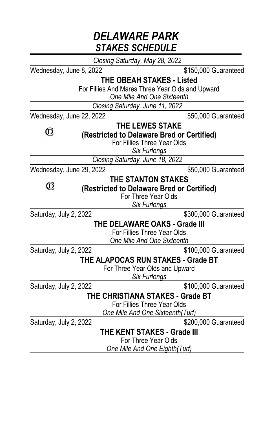## *DELAWARE PARK STAKES SCHEDULE*

*Closing Saturday, May 28, 2022*

Wednesday, June 8, 2022 **\$150,000 Guaranteed** 

**THE OBEAH STAKES - Listed**

For Fillies And Mares Three Year Olds and Upward

*One Mile And One Sixteenth*

*Closing Saturday, June 11, 2022*

Wednesday, June 22, 2022 **\$50,000 Guaranteed** 

 $\circledR$ 

 $\circledR$ 

**THE LEWES STAKE**

**(Restricted to Delaware Bred or Certified)**

For Fillies Three Year Olds

*Six Furlongs*

*Closing Saturday, June 18, 2022*

Wednesday, June 29, 2022 \$50,000 Guaranteed

## **THE STANTON STAKES**

**(Restricted to Delaware Bred or Certified)**

For Three Year Olds

*Six Furlongs*

Saturday, July 2, 2022 **\$300,000** Guaranteed

**THE DELAWARE OAKS - Grade III**

For Fillies Three Year Olds *One Mile And One Sixteenth*

Saturday, July 2, 2022 **\$100,000 Guaranteed** 

**THE ALAPOCAS RUN STAKES - Grade BT**

For Three Year Olds and Upward *Six Furlongs*

Saturday, July 2, 2022 **\$100,000 Guaranteed** 

**THE CHRISTIANA STAKES - Grade BT**

For Fillies Three Year Olds

*One Mile And One Sixteenth(Turf)*

Saturday, July 2, 2022 \$200,000 Guaranteed

**THE KENT STAKES - Grade III**

For Three Year Olds

*One Mile And One Eighth(Turf)*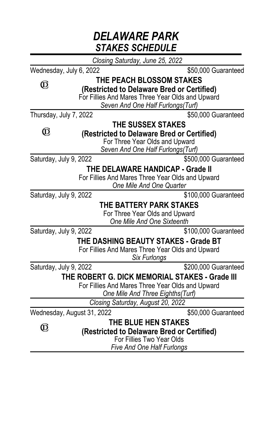|                            | DELAWARE PARK<br><b>STAKES SCHEDULE</b> |                                                                         |                      |
|----------------------------|-----------------------------------------|-------------------------------------------------------------------------|----------------------|
|                            | Closing Saturday, June 25, 2022         |                                                                         |                      |
| Wednesday, July 6, 2022    |                                         |                                                                         | \$50,000 Guaranteed  |
| O,                         |                                         | <b>THE PEACH BLOSSOM STAKES</b>                                         |                      |
|                            |                                         | (Restricted to Delaware Bred or Certified)                              |                      |
|                            |                                         | For Fillies And Mares Three Year Olds and Upward                        |                      |
|                            |                                         | Seven And One Half Furlongs(Turf)                                       |                      |
| Thursday, July 7, 2022     |                                         |                                                                         | \$50,000 Guaranteed  |
| O,                         |                                         | THE SUSSEX STAKES<br>(Restricted to Delaware Bred or Certified)         |                      |
|                            |                                         | For Three Year Olds and Upward                                          |                      |
|                            |                                         | Seven And One Half Furlongs(Turf)                                       |                      |
| Saturday, July 9, 2022     |                                         |                                                                         | \$500,000 Guaranteed |
|                            |                                         | THE DELAWARE HANDICAP - Grade II                                        |                      |
|                            |                                         | For Fillies And Mares Three Year Olds and Upward                        |                      |
|                            |                                         | One Mile And One Quarter                                                |                      |
| Saturday, July 9, 2022     |                                         |                                                                         | \$100,000 Guaranteed |
|                            |                                         | THE BATTERY PARK STAKES                                                 |                      |
|                            |                                         | For Three Year Olds and Upward<br>One Mile And One Sixteenth            |                      |
| Saturday, July 9, 2022     |                                         |                                                                         | \$100,000 Guaranteed |
|                            |                                         | THE DASHING BEAUTY STAKES - Grade BT                                    |                      |
|                            |                                         | For Fillies And Mares Three Year Olds and Upward                        |                      |
|                            |                                         | <b>Six Furlongs</b>                                                     |                      |
| Saturday, July 9, 2022     |                                         | \$200,000 Guaranteed                                                    |                      |
|                            |                                         | THE ROBERT G. DICK MEMORIAL STAKES - Grade III                          |                      |
|                            |                                         | For Fillies And Mares Three Year Olds and Upward                        |                      |
|                            |                                         | One Mile And Three Eighths(Turf)                                        |                      |
|                            | Closing Saturday, August 20, 2022       |                                                                         |                      |
| Wednesday, August 31, 2022 |                                         |                                                                         | \$50,000 Guaranteed  |
| Ô,                         |                                         | <b>THE BLUE HEN STAKES</b>                                              |                      |
|                            |                                         | (Restricted to Delaware Bred or Certified)<br>For Fillies Two Year Olds |                      |
|                            |                                         | <b>Five And One Half Furlongs</b>                                       |                      |
|                            |                                         |                                                                         |                      |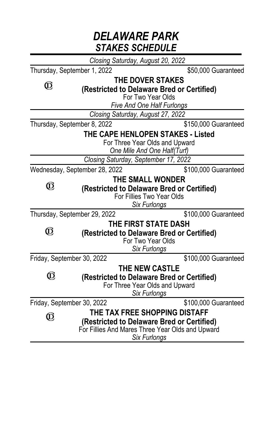|               | DELAWARE PARK<br><b>STAKES SCHEDULE</b> |                                                                                                                                                        |  |  |
|---------------|-----------------------------------------|--------------------------------------------------------------------------------------------------------------------------------------------------------|--|--|
|               |                                         | Closing Saturday, August 20, 2022                                                                                                                      |  |  |
|               | Thursday, September 1, 2022             | \$50,000 Guaranteed                                                                                                                                    |  |  |
| O,            |                                         | <b>THE DOVER STAKES</b><br>(Restricted to Delaware Bred or Certified)<br>For Two Year Olds<br><b>Five And One Half Furlongs</b>                        |  |  |
|               |                                         | Closing Saturday, August 27, 2022                                                                                                                      |  |  |
|               | Thursday, September 8, 2022             | \$150,000 Guaranteed                                                                                                                                   |  |  |
|               |                                         | THE CAPE HENLOPEN STAKES - Listed<br>For Three Year Olds and Upward<br>One Mile And One Half(Turf)<br>Closing Saturday, September 17, 2022             |  |  |
|               | Wednesday, September 28, 2022           | \$100,000 Guaranteed                                                                                                                                   |  |  |
| ©             |                                         | THE SMALL WONDER<br>(Restricted to Delaware Bred or Certified)<br>For Fillies Two Year Olds<br>Six Furlongs                                            |  |  |
|               | Thursday, September 29, 2022            | \$100,000 Guaranteed                                                                                                                                   |  |  |
| $^\copyright$ |                                         | THE FIRST STATE DASH<br>(Restricted to Delaware Bred or Certified)<br>For Two Year Olds<br><b>Six Furlonas</b>                                         |  |  |
|               | Friday, September 30, 2022              | \$100,000 Guaranteed                                                                                                                                   |  |  |
| O,            |                                         | <b>THE NEW CASTLE</b><br>(Restricted to Delaware Bred or Certified)<br>For Three Year Olds and Upward<br>Six Furlongs                                  |  |  |
|               | Friday, September 30, 2022              | \$100,000 Guaranteed                                                                                                                                   |  |  |
| O,            |                                         | THE TAX FREE SHOPPING DISTAFF<br>(Restricted to Delaware Bred or Certified)<br>For Fillies And Mares Three Year Olds and Upward<br><b>Six Furlongs</b> |  |  |